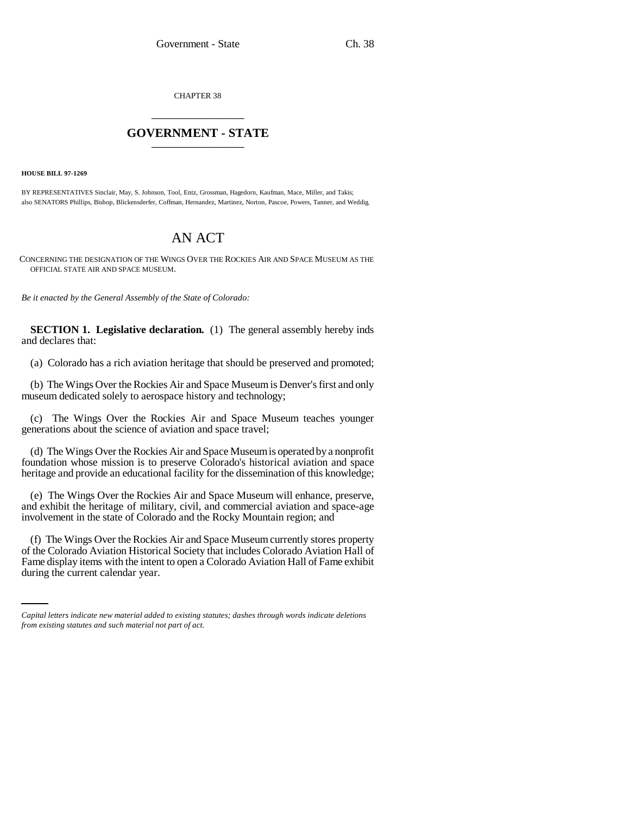CHAPTER 38 \_\_\_\_\_\_\_\_\_\_\_\_\_\_\_

## **GOVERNMENT - STATE** \_\_\_\_\_\_\_\_\_\_\_\_\_\_\_

**HOUSE BILL 97-1269**

BY REPRESENTATIVES Sinclair, May, S. Johnson, Tool, Entz, Grossman, Hagedorn, Kaufman, Mace, Miller, and Takis; also SENATORS Phillips, Bishop, Blickensderfer, Coffman, Hernandez, Martinez, Norton, Pascoe, Powers, Tanner, and Weddig.

## AN ACT

CONCERNING THE DESIGNATION OF THE WINGS OVER THE ROCKIES AIR AND SPACE MUSEUM AS THE OFFICIAL STATE AIR AND SPACE MUSEUM.

*Be it enacted by the General Assembly of the State of Colorado:*

**SECTION 1. Legislative declaration.** (1) The general assembly hereby inds and declares that:

(a) Colorado has a rich aviation heritage that should be preserved and promoted;

(b) The Wings Over the Rockies Air and Space Museum is Denver's first and only museum dedicated solely to aerospace history and technology;

(c) The Wings Over the Rockies Air and Space Museum teaches younger generations about the science of aviation and space travel;

(d) The Wings Over the Rockies Air and Space Museum is operated by a nonprofit foundation whose mission is to preserve Colorado's historical aviation and space heritage and provide an educational facility for the dissemination of this knowledge;

(e) The Wings Over the Rockies Air and Space Museum will enhance, preserve, and exhibit the heritage of military, civil, and commercial aviation and space-age involvement in the state of Colorado and the Rocky Mountain region; and

of the Colorado Aviation Historical Society that includes Colorado Aviation Hall of (f) The Wings Over the Rockies Air and Space Museum currently stores property Fame display items with the intent to open a Colorado Aviation Hall of Fame exhibit during the current calendar year.

*Capital letters indicate new material added to existing statutes; dashes through words indicate deletions from existing statutes and such material not part of act.*